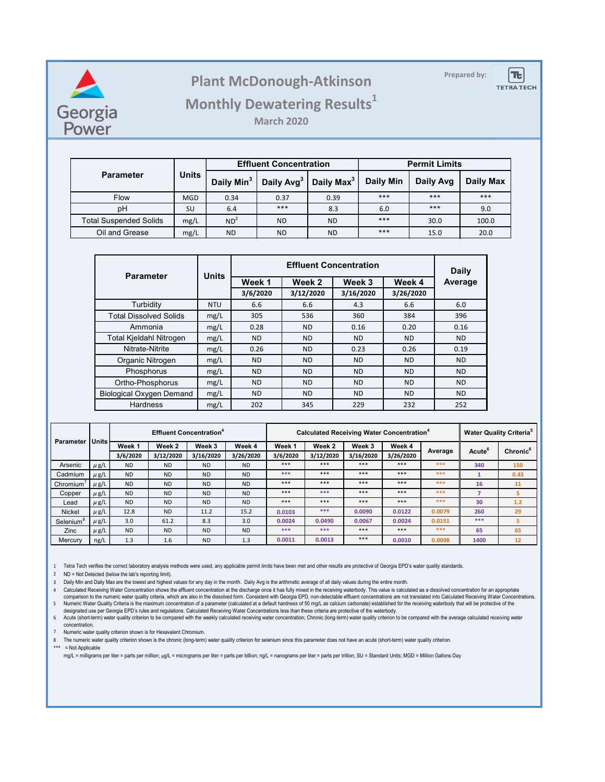

# **Prepared by: Plant McDonough-Atkinson**



## **Monthly Dewatering Results<sup>1</sup>**

**March 2020**

|                               | <b>Units</b> |                        | <b>Effluent Concentration</b> |                        | <b>Permit Limits</b> |           |           |  |
|-------------------------------|--------------|------------------------|-------------------------------|------------------------|----------------------|-----------|-----------|--|
| <b>Parameter</b>              |              | Daily Min <sup>3</sup> | Daily Avg <sup>3</sup>        | Daily Max <sup>3</sup> | <b>Daily Min</b>     | Daily Avg | Daily Max |  |
| <b>Flow</b>                   | <b>MGD</b>   | 0.34                   | 0.37                          | 0.39                   | ***                  | ***       | ***       |  |
| pH                            | SU           | 6.4                    | ***                           | 8.3                    | 6.0                  | ***       | 9.0       |  |
| <b>Total Suspended Solids</b> | mg/L         | ND <sup>2</sup>        | <b>ND</b>                     | ND.                    | ***                  | 30.0      | 100.0     |  |
| Oil and Grease                | mg/L         | <b>ND</b>              | <b>ND</b>                     | ND.                    | ***                  | 15.0      | 20.0      |  |

| <b>Parameter</b>                | <b>Units</b> |           | Daily          |           |           |           |
|---------------------------------|--------------|-----------|----------------|-----------|-----------|-----------|
|                                 |              | Week 1    | Week 2         | Week 3    | Week 4    | Average   |
|                                 |              | 3/6/2020  | 3/12/2020      | 3/16/2020 | 3/26/2020 |           |
| Turbidity                       | <b>NTU</b>   | 6.6       | 6.6            | 4.3       | 6.6       | 6.0       |
| <b>Total Dissolved Solids</b>   | mg/L         | 305       | 536            | 360       | 384       | 396       |
| Ammonia                         | mg/L         | 0.28      | <b>ND</b>      | 0.16      | 0.20      | 0.16      |
| <b>Total Kjeldahl Nitrogen</b>  | mg/L         | <b>ND</b> | <b>ND</b>      | ND.       | <b>ND</b> | <b>ND</b> |
| Nitrate-Nitrite                 | mg/L         | 0.26      | <b>ND</b>      | 0.23      | 0.26      | 0.19      |
| Organic Nitrogen                | mg/L         | <b>ND</b> | <b>ND</b>      | ND.       | <b>ND</b> | <b>ND</b> |
| Phosphorus                      | mg/L         | <b>ND</b> | <b>ND</b>      | <b>ND</b> | <b>ND</b> | <b>ND</b> |
| Ortho-Phosphorus                | mg/L         | <b>ND</b> | <b>ND</b>      | <b>ND</b> | <b>ND</b> | <b>ND</b> |
| <b>Biological Oxygen Demand</b> | mg/L         | ND.       | N <sub>D</sub> | ND.       | <b>ND</b> | <b>ND</b> |
| <b>Hardness</b>                 | mg/L         | 202       | 345            | 229       | 232       | 252       |

| Parameter<br><b>Units</b> |           |           |           | <b>Effluent Concentration<sup>4</sup></b> |           | Calculated Receiving Water Concentration <sup>4</sup> |           |           |           |         | <b>Water Quality Criteria<sup>5</sup></b> |                      |
|---------------------------|-----------|-----------|-----------|-------------------------------------------|-----------|-------------------------------------------------------|-----------|-----------|-----------|---------|-------------------------------------------|----------------------|
|                           |           | Week 1    | Week 2    | Week 3                                    | Week 4    | Week 1                                                | Week 2    | Week 3    | Week 4    | Average | Acute <sup>6</sup>                        | Chronic <sup>6</sup> |
|                           |           | 3/6/2020  | 3/12/2020 | 3/16/2020                                 | 3/26/2020 | 3/6/2020                                              | 3/12/2020 | 3/16/2020 | 3/26/2020 |         |                                           |                      |
| Arsenic                   | $\mu$ g/L | <b>ND</b> | <b>ND</b> | <b>ND</b>                                 | <b>ND</b> | ***                                                   | ***       | ***       | ***       | ***     | 340                                       | 150                  |
| Cadmium                   | $\mu$ g/L | <b>ND</b> | <b>ND</b> | <b>ND</b>                                 | <b>ND</b> | ***                                                   | ***       | ***       | ***       | ***     |                                           | 0.43                 |
| Chromium <sup>®</sup>     | $\mu$ g/L | <b>ND</b> | <b>ND</b> | <b>ND</b>                                 | <b>ND</b> | ***                                                   | ***       | ***       | ***       | ***     | 16                                        | 11                   |
| Copper                    | $\mu$ g/L | <b>ND</b> | <b>ND</b> | <b>ND</b>                                 | <b>ND</b> | ***                                                   | ***       | ***       | ***       | ***     | ۰,                                        | 5                    |
| Lead                      | $\mu$ g/L | <b>ND</b> | <b>ND</b> | <b>ND</b>                                 | <b>ND</b> | ***                                                   | ***       | ***       | ***       | ***     | 30                                        | 1.2                  |
| Nickel                    | $\mu$ g/L | 12.8      | <b>ND</b> | 11.2                                      | 15.2      | 0.0103                                                | ***       | 0.0090    | 0.0122    | 0.0079  | 260                                       | 29                   |
| Selenium <sup>8</sup>     | $\mu$ g/L | 3.0       | 61.2      | 8.3                                       | 3.0       | 0.0024                                                | 0.0490    | 0.0067    | 0.0024    | 0.0151  | ***                                       | 5                    |
| Zinc                      | $\mu$ g/L | <b>ND</b> | <b>ND</b> | <b>ND</b>                                 | <b>ND</b> | ***                                                   | ***       | ***       | ***       | ***     | 65                                        | 65                   |
| Mercury                   | ng/L      | 1.3       | 1.6       | <b>ND</b>                                 | 1.3       | 0.0011                                                | 0.0013    | ***       | 0.0010    | 0.0008  | 1400                                      | 12                   |

1 Tetra Tech verifies the correct laboratory analysis methods were used, any applicable permit limits have been met and other results are protective of Georgia EPD's water quality standards.

2 ND = Not Detected (below the lab's reporting limit).

3 Daily Min and Daily Max are the lowest and highest values for any day in the month. Daily Avg is the arithmetic average of all daily values during the entire month.

4 Calculated Receiving Water Concentration shows the effluent concentration at the discharge once it has fully mixed in the receiving waterbody. This value is calculated as a dissolved concentration for an appropriate 5 Numeric Water Quality Criteria is the maximum concentration of a parameter (calculated at a default hardness of 50 mg/L as calcium carbonate) established for the receiving waterbody that will be protective of the<br>designa comparison to the numeric water quality criteria, which are also in the dissolved form. Consistent with Georgia EPD, non-detectable effluent concentrations are not translated into Calculated Receiving Water Concentrations.

6 Acute (short-term) water quality criterion to be compared with the weekly calculated receiving water concentration; Chronic (long-term) water quality criterion to be compared with the average calculated receiving water concentration.

7 Numeric water quality criterion shown is for Hexavalent Chromium.

8 The numeric water quality criterion shown is the chronic (long-term) water quality criterion for selenium since this parameter does not have an acute (short-term) water quality criterion.

\*\*\* = Not Applicable

mg/L = milligrams per liter = parts per million; µg/L = micrograms per liter = parts per billion; ng/L = nanograms per liter = parts per trillion; SU = Standard Units; MGD = Million Gallons Day